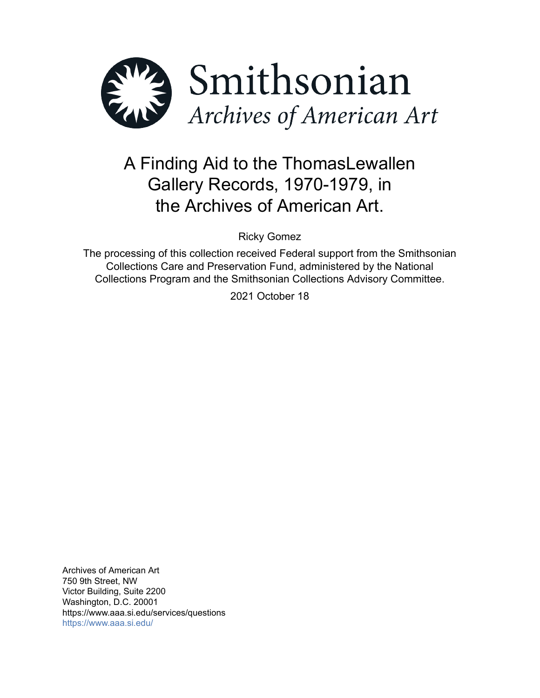

# A Finding Aid to the ThomasLewallen Gallery Records, 1970-1979, in the Archives of American Art.

Ricky Gomez

The processing of this collection received Federal support from the Smithsonian Collections Care and Preservation Fund, administered by the National Collections Program and the Smithsonian Collections Advisory Committee.

2021 October 18

Archives of American Art 750 9th Street, NW Victor Building, Suite 2200 Washington, D.C. 20001 https://www.aaa.si.edu/services/questions <https://www.aaa.si.edu/>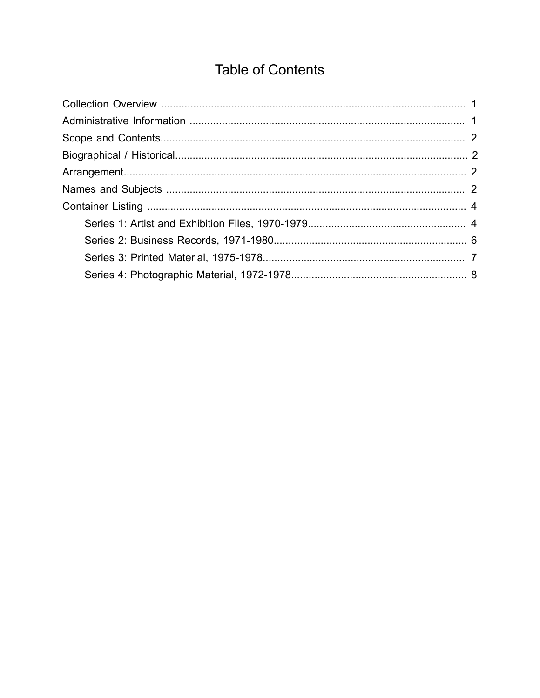# **Table of Contents**

<span id="page-1-0"></span>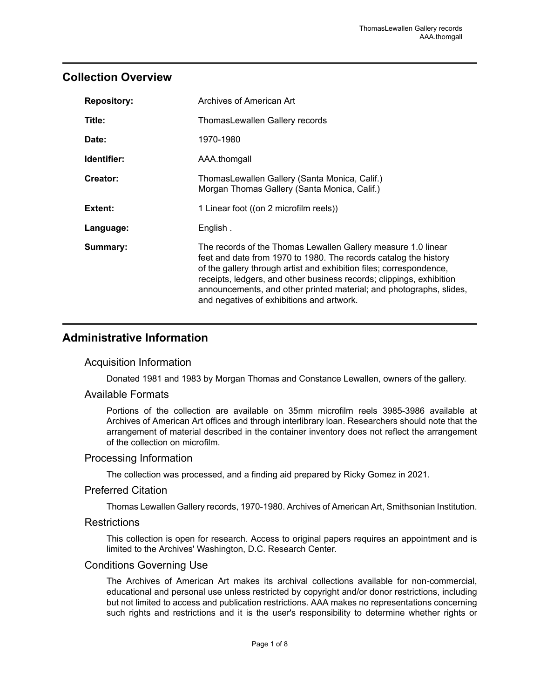# <span id="page-2-0"></span>**Collection Overview**

| <b>Repository:</b> | Archives of American Art                                                                                                                                                                                                                                                                                                                                                                             |
|--------------------|------------------------------------------------------------------------------------------------------------------------------------------------------------------------------------------------------------------------------------------------------------------------------------------------------------------------------------------------------------------------------------------------------|
| Title:             | ThomasLewallen Gallery records                                                                                                                                                                                                                                                                                                                                                                       |
| Date:              | 1970-1980                                                                                                                                                                                                                                                                                                                                                                                            |
| Identifier:        | AAA.thomgall                                                                                                                                                                                                                                                                                                                                                                                         |
| Creator:           | ThomasLewallen Gallery (Santa Monica, Calif.)<br>Morgan Thomas Gallery (Santa Monica, Calif.)                                                                                                                                                                                                                                                                                                        |
| Extent:            | 1 Linear foot ((on 2 microfilm reels))                                                                                                                                                                                                                                                                                                                                                               |
| Language:          | English.                                                                                                                                                                                                                                                                                                                                                                                             |
| Summary:           | The records of the Thomas Lewallen Gallery measure 1.0 linear<br>feet and date from 1970 to 1980. The records catalog the history<br>of the gallery through artist and exhibition files; correspondence,<br>receipts, ledgers, and other business records; clippings, exhibition<br>announcements, and other printed material; and photographs, slides,<br>and negatives of exhibitions and artwork. |

# <span id="page-2-1"></span>**Administrative Information**

#### Acquisition Information

Donated 1981 and 1983 by Morgan Thomas and Constance Lewallen, owners of the gallery.

#### Available Formats

Portions of the collection are available on 35mm microfilm reels 3985-3986 available at Archives of American Art offices and through interlibrary loan. Researchers should note that the arrangement of material described in the container inventory does not reflect the arrangement of the collection on microfilm.

#### Processing Information

The collection was processed, and a finding aid prepared by Ricky Gomez in 2021.

#### Preferred Citation

Thomas Lewallen Gallery records, 1970-1980. Archives of American Art, Smithsonian Institution.

#### **Restrictions**

This collection is open for research. Access to original papers requires an appointment and is limited to the Archives' Washington, D.C. Research Center.

#### Conditions Governing Use

The Archives of American Art makes its archival collections available for non-commercial, educational and personal use unless restricted by copyright and/or donor restrictions, including but not limited to access and publication restrictions. AAA makes no representations concerning such rights and restrictions and it is the user's responsibility to determine whether rights or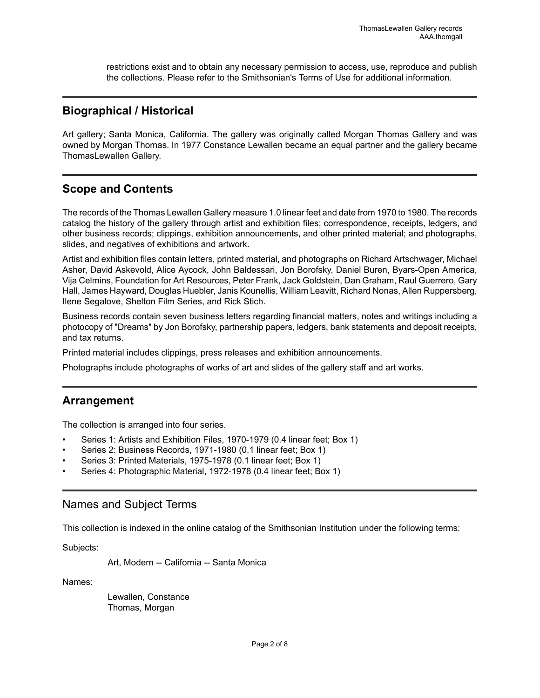restrictions exist and to obtain any necessary permission to access, use, reproduce and publish the collections. Please refer to the Smithsonian's Terms of Use for additional information.

### <span id="page-3-1"></span>**Biographical / Historical**

Art gallery; Santa Monica, California. The gallery was originally called Morgan Thomas Gallery and was owned by Morgan Thomas. In 1977 Constance Lewallen became an equal partner and the gallery became ThomasLewallen Gallery.

## <span id="page-3-0"></span>**Scope and Contents**

The records of the Thomas Lewallen Gallery measure 1.0 linear feet and date from 1970 to 1980. The records catalog the history of the gallery through artist and exhibition files; correspondence, receipts, ledgers, and other business records; clippings, exhibition announcements, and other printed material; and photographs, slides, and negatives of exhibitions and artwork.

Artist and exhibition files contain letters, printed material, and photographs on Richard Artschwager, Michael Asher, David Askevold, Alice Aycock, John Baldessari, Jon Borofsky, Daniel Buren, Byars-Open America, Vija Celmins, Foundation for Art Resources, Peter Frank, Jack Goldstein, Dan Graham, Raul Guerrero, Gary Hall, James Hayward, Douglas Huebler, Janis Kounellis, William Leavitt, Richard Nonas, Allen Ruppersberg, Ilene Segalove, Shelton Film Series, and Rick Stich.

Business records contain seven business letters regarding financial matters, notes and writings including a photocopy of "Dreams" by Jon Borofsky, partnership papers, ledgers, bank statements and deposit receipts, and tax returns.

Printed material includes clippings, press releases and exhibition announcements.

Photographs include photographs of works of art and slides of the gallery staff and art works.

### <span id="page-3-2"></span>**Arrangement**

The collection is arranged into four series.

- Series 1: Artists and Exhibition Files, 1970-1979 (0.4 linear feet; Box 1)
- Series 2: Business Records, 1971-1980 (0.1 linear feet; Box 1)
- Series 3: Printed Materials, 1975-1978 (0.1 linear feet; Box 1)
- Series 4: Photographic Material, 1972-1978 (0.4 linear feet; Box 1)

### <span id="page-3-3"></span>Names and Subject Terms

This collection is indexed in the online catalog of the Smithsonian Institution under the following terms:

Subjects:

Art, Modern -- California -- Santa Monica

Names:

Lewallen, Constance Thomas, Morgan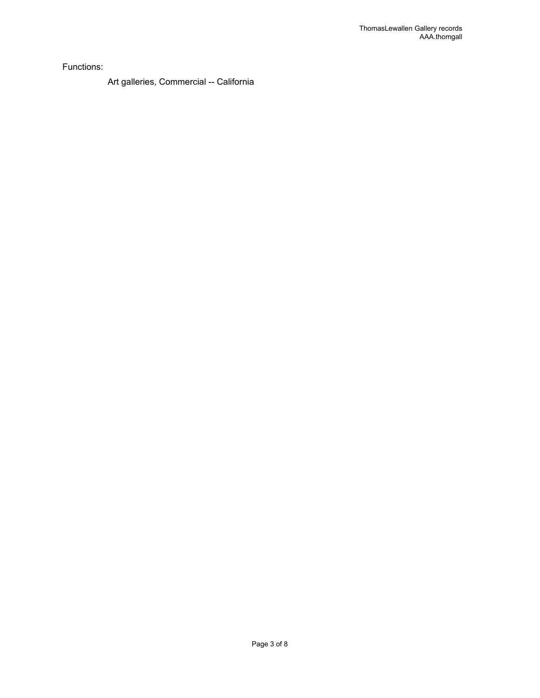Functions:

Art galleries, Commercial -- California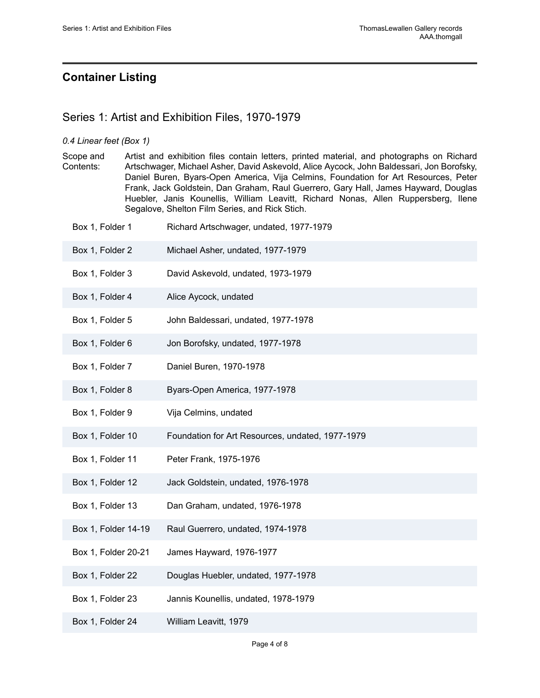# <span id="page-5-0"></span>**Container Listing**

## <span id="page-5-1"></span>Series 1: Artist and Exhibition Files, 1970-1979

#### *0.4 Linear feet (Box 1)*

Scope and Contents: Artist and exhibition files contain letters, printed material, and photographs on Richard Artschwager, Michael Asher, David Askevold, Alice Aycock, John Baldessari, Jon Borofsky, Daniel Buren, Byars-Open America, Vija Celmins, Foundation for Art Resources, Peter Frank, Jack Goldstein, Dan Graham, Raul Guerrero, Gary Hall, James Hayward, Douglas Huebler, Janis Kounellis, William Leavitt, Richard Nonas, Allen Ruppersberg, Ilene Segalove, Shelton Film Series, and Rick Stich.

| Box 1, Folder 1     | Richard Artschwager, undated, 1977-1979          |
|---------------------|--------------------------------------------------|
| Box 1, Folder 2     | Michael Asher, undated, 1977-1979                |
| Box 1, Folder 3     | David Askevold, undated, 1973-1979               |
| Box 1, Folder 4     | Alice Aycock, undated                            |
| Box 1, Folder 5     | John Baldessari, undated, 1977-1978              |
| Box 1, Folder 6     | Jon Borofsky, undated, 1977-1978                 |
| Box 1, Folder 7     | Daniel Buren, 1970-1978                          |
| Box 1, Folder 8     | Byars-Open America, 1977-1978                    |
| Box 1, Folder 9     | Vija Celmins, undated                            |
| Box 1, Folder 10    | Foundation for Art Resources, undated, 1977-1979 |
| Box 1, Folder 11    | Peter Frank, 1975-1976                           |
| Box 1, Folder 12    | Jack Goldstein, undated, 1976-1978               |
| Box 1, Folder 13    | Dan Graham, undated, 1976-1978                   |
| Box 1, Folder 14-19 | Raul Guerrero, undated, 1974-1978                |
| Box 1, Folder 20-21 | James Hayward, 1976-1977                         |
| Box 1, Folder 22    | Douglas Huebler, undated, 1977-1978              |
| Box 1, Folder 23    | Jannis Kounellis, undated, 1978-1979             |
| Box 1, Folder 24    | William Leavitt, 1979                            |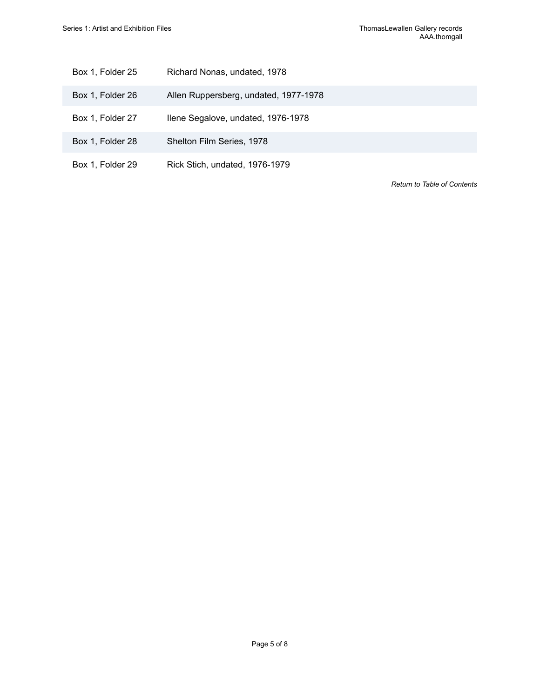| Box 1, Folder 25 | Richard Nonas, undated, 1978 |
|------------------|------------------------------|
|                  |                              |

- Box 1, Folder 26 Allen Ruppersberg, undated, 1977-1978
- Box 1, Folder 27 Ilene Segalove, undated, 1976-1978
- Box 1, Folder 28 Shelton Film Series, 1978
- Box 1, Folder 29 Rick Stich, undated, 1976-1979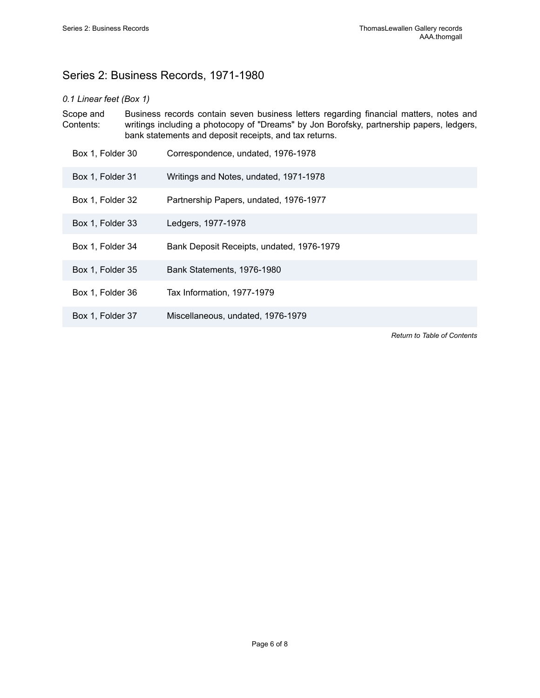# <span id="page-7-0"></span>Series 2: Business Records, 1971-1980

#### *0.1 Linear feet (Box 1)*

| Scope and<br>Contents: |  | Business records contain seven business letters regarding financial matters, notes and<br>writings including a photocopy of "Dreams" by Jon Borofsky, partnership papers, ledgers,<br>bank statements and deposit receipts, and tax returns. |  |
|------------------------|--|----------------------------------------------------------------------------------------------------------------------------------------------------------------------------------------------------------------------------------------------|--|
| Box 1, Folder 30       |  | Correspondence, undated, 1976-1978                                                                                                                                                                                                           |  |
| Box 1, Folder 31       |  | Writings and Notes, undated, 1971-1978                                                                                                                                                                                                       |  |

- Box 1, Folder 32 Partnership Papers, undated, 1976-1977
- Box 1, Folder 33 Ledgers, 1977-1978
- Box 1, Folder 34 Bank Deposit Receipts, undated, 1976-1979
- Box 1, Folder 35 Bank Statements, 1976-1980
- Box 1, Folder 36 Tax Information, 1977-1979
- Box 1, Folder 37 Miscellaneous, undated, 1976-1979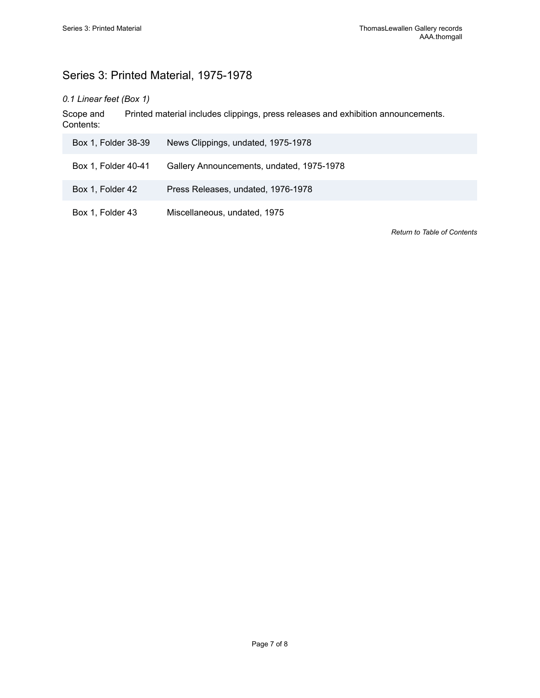# <span id="page-8-0"></span>Series 3: Printed Material, 1975-1978

## *0.1 Linear feet (Box 1)*

Scope and Contents: Printed material includes clippings, press releases and exhibition announcements.

| Box 1, Folder 38-39 | News Clippings, undated, 1975-1978        |
|---------------------|-------------------------------------------|
| Box 1, Folder 40-41 | Gallery Announcements, undated, 1975-1978 |
| Box 1, Folder 42    | Press Releases, undated, 1976-1978        |
| Box 1, Folder 43    | Miscellaneous, undated, 1975              |